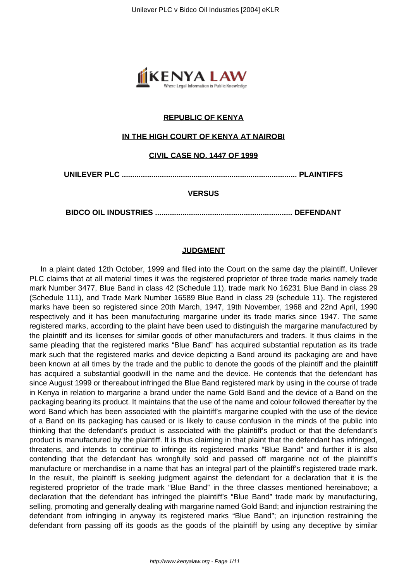

# **REPUBLIC OF KENYA**

## **IN THE HIGH COURT OF KENYA AT NAIROBI**

## **CIVIL CASE NO. 1447 OF 1999**

**UNILEVER PLC ................................................................................... PLAINTIFFS**

### **VERSUS**

**BIDCO OIL INDUSTRIES ................................................................. DEFENDANT**

#### **JUDGMENT**

In a plaint dated 12th October, 1999 and filed into the Court on the same day the plaintiff, Unilever PLC claims that at all material times it was the registered proprietor of three trade marks namely trade mark Number 3477, Blue Band in class 42 (Schedule 11), trade mark No 16231 Blue Band in class 29 (Schedule 111), and Trade Mark Number 16589 Blue Band in class 29 (schedule 11). The registered marks have been so registered since 20th March, 1947, 19th November, 1968 and 22nd April, 1990 respectively and it has been manufacturing margarine under its trade marks since 1947. The same registered marks, according to the plaint have been used to distinguish the margarine manufactured by the plaintiff and its licenses for similar goods of other manufacturers and traders. It thus claims in the same pleading that the registered marks "Blue Band" has acquired substantial reputation as its trade mark such that the registered marks and device depicting a Band around its packaging are and have been known at all times by the trade and the public to denote the goods of the plaintiff and the plaintiff has acquired a substantial goodwill in the name and the device. He contends that the defendant has since August 1999 or thereabout infringed the Blue Band registered mark by using in the course of trade in Kenya in relation to margarine a brand under the name Gold Band and the device of a Band on the packaging bearing its product. It maintains that the use of the name and colour followed thereafter by the word Band which has been associated with the plaintiff's margarine coupled with the use of the device of a Band on its packaging has caused or is likely to cause confusion in the minds of the public into thinking that the defendant's product is associated with the plaintiff's product or that the defendant's product is manufactured by the plaintiff. It is thus claiming in that plaint that the defendant has infringed, threatens, and intends to continue to infringe its registered marks "Blue Band" and further it is also contending that the defendant has wrongfully sold and passed off margarine not of the plaintiff's manufacture or merchandise in a name that has an integral part of the plaintiff's registered trade mark. In the result, the plaintiff is seeking judgment against the defendant for a declaration that it is the registered proprietor of the trade mark "Blue Band" in the three classes mentioned hereinabove; a declaration that the defendant has infringed the plaintiff's "Blue Band" trade mark by manufacturing, selling, promoting and generally dealing with margarine named Gold Band; and injunction restraining the defendant from infringing in anyway its registered marks "Blue Band"; an injunction restraining the defendant from passing off its goods as the goods of the plaintiff by using any deceptive by similar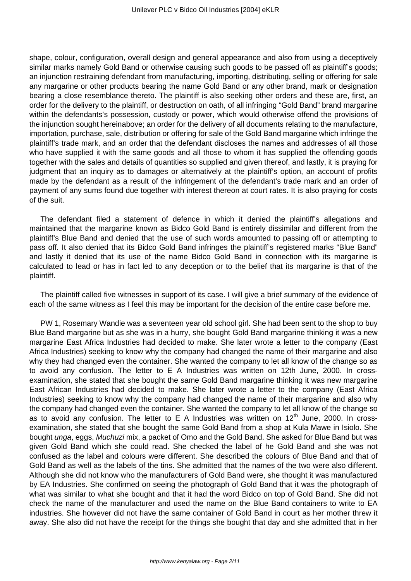shape, colour, configuration, overall design and general appearance and also from using a deceptively similar marks namely Gold Band or otherwise causing such goods to be passed off as plaintiff's goods; an injunction restraining defendant from manufacturing, importing, distributing, selling or offering for sale any margarine or other products bearing the name Gold Band or any other brand, mark or designation bearing a close resemblance thereto. The plaintiff is also seeking other orders and these are, first, an order for the delivery to the plaintiff, or destruction on oath, of all infringing "Gold Band" brand margarine within the defendants's possession, custody or power, which would otherwise offend the provisions of the injunction sought hereinabove; an order for the delivery of all documents relating to the manufacture, importation, purchase, sale, distribution or offering for sale of the Gold Band margarine which infringe the plaintiff's trade mark, and an order that the defendant discloses the names and addresses of all those who have supplied it with the same goods and all those to whom it has supplied the offending goods together with the sales and details of quantities so supplied and given thereof, and lastly, it is praying for judgment that an inquiry as to damages or alternatively at the plaintiff's option, an account of profits made by the defendant as a result of the infringement of the defendant's trade mark and an order of payment of any sums found due together with interest thereon at court rates. It is also praying for costs of the suit.

The defendant filed a statement of defence in which it denied the plaintiff's allegations and maintained that the margarine known as Bidco Gold Band is entirely dissimilar and different from the plaintiff's Blue Band and denied that the use of such words amounted to passing off or attempting to pass off. It also denied that its Bidco Gold Band infringes the plaintiff's registered marks "Blue Band" and lastly it denied that its use of the name Bidco Gold Band in connection with its margarine is calculated to lead or has in fact led to any deception or to the belief that its margarine is that of the plaintiff.

The plaintiff called five witnesses in support of its case. I will give a brief summary of the evidence of each of the same witness as I feel this may be important for the decision of the entire case before me.

PW 1, Rosemary Wandie was a seventeen year old school girl. She had been sent to the shop to buy Blue Band margarine but as she was in a hurry, she bought Gold Band margarine thinking it was a new margarine East Africa Industries had decided to make. She later wrote a letter to the company (East Africa Industries) seeking to know why the company had changed the name of their margarine and also why they had changed even the container. She wanted the company to let all know of the change so as to avoid any confusion. The letter to E A Industries was written on 12th June, 2000. In crossexamination, she stated that she bought the same Gold Band margarine thinking it was new margarine East African Industries had decided to make. She later wrote a letter to the company (East Africa Industries) seeking to know why the company had changed the name of their margarine and also why the company had changed even the container. She wanted the company to let all know of the change so as to avoid any confusion. The letter to E A Industries was written on  $12<sup>th</sup>$  June, 2000. In crossexamination, she stated that she bought the same Gold Band from a shop at Kula Mawe in Isiolo. She bought unga, eggs, Muchuzi mix, a packet of Omo and the Gold Band. She asked for Blue Band but was given Gold Band which she could read. She checked the label of he Gold Band and she was not confused as the label and colours were different. She described the colours of Blue Band and that of Gold Band as well as the labels of the tins. She admitted that the names of the two were also different. Although she did not know who the manufacturers of Gold Band were, she thought it was manufactured by EA Industries. She confirmed on seeing the photograph of Gold Band that it was the photograph of what was similar to what she bought and that it had the word Bidco on top of Gold Band. She did not check the name of the manufacturer and used the name on the Blue Band containers to write to EA industries. She however did not have the same container of Gold Band in court as her mother threw it away. She also did not have the receipt for the things she bought that day and she admitted that in her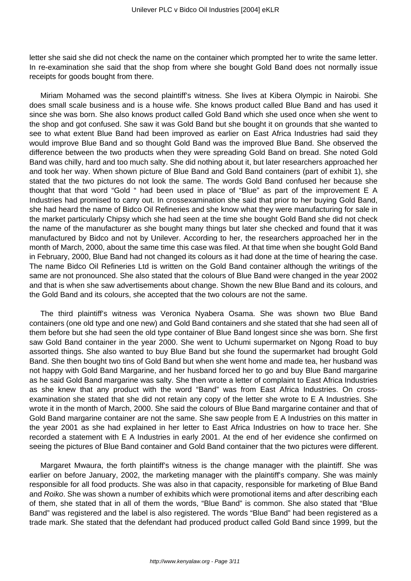letter she said she did not check the name on the container which prompted her to write the same letter. In re-examination she said that the shop from where she bought Gold Band does not normally issue receipts for goods bought from there.

Miriam Mohamed was the second plaintiff's witness. She lives at Kibera Olympic in Nairobi. She does small scale business and is a house wife. She knows product called Blue Band and has used it since she was born. She also knows product called Gold Band which she used once when she went to the shop and got confused. She saw it was Gold Band but she bought it on grounds that she wanted to see to what extent Blue Band had been improved as earlier on East Africa Industries had said they would improve Blue Band and so thought Gold Band was the improved Blue Band. She observed the difference between the two products when they were spreading Gold Band on bread. She noted Gold Band was chilly, hard and too much salty. She did nothing about it, but later researchers approached her and took her way. When shown picture of Blue Band and Gold Band containers (part of exhibit 1), she stated that the two pictures do not look the same. The words Gold Band confused her because she thought that that word "Gold " had been used in place of "Blue" as part of the improvement E A Industries had promised to carry out. In crossexamination she said that prior to her buying Gold Band, she had heard the name of Bidco Oil Refineries and she know what they were manufacturing for sale in the market particularly Chipsy which she had seen at the time she bought Gold Band she did not check the name of the manufacturer as she bought many things but later she checked and found that it was manufactured by Bidco and not by Unilever. According to her, the researchers approached her in the month of March, 2000, about the same time this case was filed. At that time when she bought Gold Band in February, 2000, Blue Band had not changed its colours as it had done at the time of hearing the case. The name Bidco Oil Refineries Ltd is written on the Gold Band container although the writings of the same are not pronounced. She also stated that the colours of Blue Band were changed in the year 2002 and that is when she saw advertisements about change. Shown the new Blue Band and its colours, and the Gold Band and its colours, she accepted that the two colours are not the same.

The third plaintiff's witness was Veronica Nyabera Osama. She was shown two Blue Band containers (one old type and one new) and Gold Band containers and she stated that she had seen all of them before but she had seen the old type container of Blue Band longest since she was born. She first saw Gold Band container in the year 2000. She went to Uchumi supermarket on Ngong Road to buy assorted things. She also wanted to buy Blue Band but she found the supermarket had brought Gold Band. She then bought two tins of Gold Band but when she went home and made tea, her husband was not happy with Gold Band Margarine, and her husband forced her to go and buy Blue Band margarine as he said Gold Band margarine was salty. She then wrote a letter of complaint to East Africa Industries as she knew that any product with the word "Band" was from East Africa Industries. On crossexamination she stated that she did not retain any copy of the letter she wrote to E A Industries. She wrote it in the month of March, 2000. She said the colours of Blue Band margarine container and that of Gold Band margarine container are not the same. She saw people from E A Industries on this matter in the year 2001 as she had explained in her letter to East Africa Industries on how to trace her. She recorded a statement with E A Industries in early 2001. At the end of her evidence she confirmed on seeing the pictures of Blue Band container and Gold Band container that the two pictures were different.

Margaret Mwaura, the forth plaintiff's witness is the change manager with the plaintiff. She was earlier on before January, 2002, the marketing manager with the plaintiff's company. She was mainly responsible for all food products. She was also in that capacity, responsible for marketing of Blue Band and Roiko. She was shown a number of exhibits which were promotional items and after describing each of them, she stated that in all of them the words, "Blue Band" is common. She also stated that "Blue Band" was registered and the label is also registered. The words "Blue Band" had been registered as a trade mark. She stated that the defendant had produced product called Gold Band since 1999, but the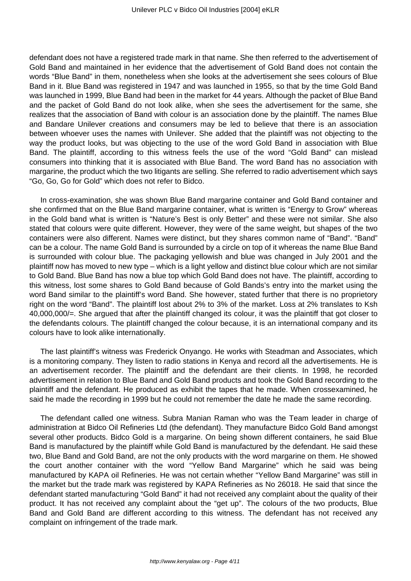defendant does not have a registered trade mark in that name. She then referred to the advertisement of Gold Band and maintained in her evidence that the advertisement of Gold Band does not contain the words "Blue Band" in them, nonetheless when she looks at the advertisement she sees colours of Blue Band in it. Blue Band was registered in 1947 and was launched in 1955, so that by the time Gold Band was launched in 1999, Blue Band had been in the market for 44 years. Although the packet of Blue Band and the packet of Gold Band do not look alike, when she sees the advertisement for the same, she realizes that the association of Band with colour is an association done by the plaintiff. The names Blue and Bandare Unilever creations and consumers may be led to believe that there is an association between whoever uses the names with Unilever. She added that the plaintiff was not objecting to the way the product looks, but was objecting to the use of the word Gold Band in association with Blue Band. The plaintiff, according to this witness feels the use of the word "Gold Band" can mislead consumers into thinking that it is associated with Blue Band. The word Band has no association with margarine, the product which the two litigants are selling. She referred to radio advertisement which says "Go, Go, Go for Gold" which does not refer to Bidco.

In cross-examination, she was shown Blue Band margarine container and Gold Band container and she confirmed that on the Blue Band margarine container, what is written is "Energy to Grow" whereas in the Gold band what is written is "Nature's Best is only Better" and these were not similar. She also stated that colours were quite different. However, they were of the same weight, but shapes of the two containers were also different. Names were distinct, but they shares common name of "Band". "Band" can be a colour. The name Gold Band is surrounded by a circle on top of it whereas the name Blue Band is surrounded with colour blue. The packaging yellowish and blue was changed in July 2001 and the plaintiff now has moved to new type – which is a light yellow and distinct blue colour which are not similar to Gold Band. Blue Band has now a blue top which Gold Band does not have. The plaintiff, according to this witness, lost some shares to Gold Band because of Gold Bands's entry into the market using the word Band similar to the plaintiff's word Band. She however, stated further that there is no proprietory right on the word "Band". The plaintiff lost about 2% to 3% of the market. Loss at 2% translates to Ksh 40,000,000/=. She argued that after the plaintiff changed its colour, it was the plaintiff that got closer to the defendants colours. The plaintiff changed the colour because, it is an international company and its colours have to look alike internationally.

The last plaintiff's witness was Frederick Onyango. He works with Steadman and Associates, which is a monitoring company. They listen to radio stations in Kenya and record all the advertisements. He is an advertisement recorder. The plaintiff and the defendant are their clients. In 1998, he recorded advertisement in relation to Blue Band and Gold Band products and took the Gold Band recording to the plaintiff and the defendant. He produced as exhibit the tapes that he made. When crossexamined, he said he made the recording in 1999 but he could not remember the date he made the same recording.

The defendant called one witness. Subra Manian Raman who was the Team leader in charge of administration at Bidco Oil Refineries Ltd (the defendant). They manufacture Bidco Gold Band amongst several other products. Bidco Gold is a margarine. On being shown different containers, he said Blue Band is manufactured by the plaintiff while Gold Band is manufactured by the defendant. He said these two, Blue Band and Gold Band, are not the only products with the word margarine on them. He showed the court another container with the word "Yellow Band Margarine" which he said was being manufactured by KAPA oil Refineries. He was not certain whether "Yellow Band Margarine" was still in the market but the trade mark was registered by KAPA Refineries as No 26018. He said that since the defendant started manufacturing "Gold Band" it had not received any complaint about the quality of their product. It has not received any complaint about the "get up". The colours of the two products, Blue Band and Gold Band are different according to this witness. The defendant has not received any complaint on infringement of the trade mark.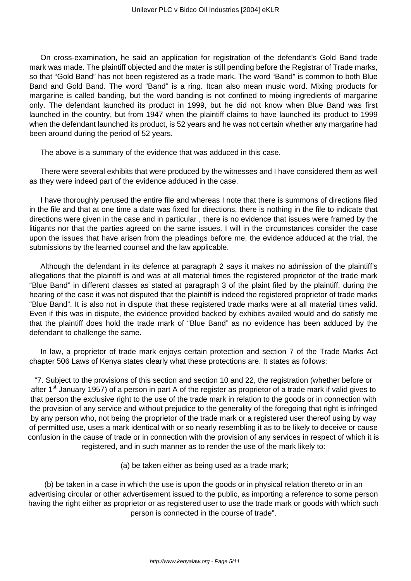On cross-examination, he said an application for registration of the defendant's Gold Band trade mark was made. The plaintiff objected and the mater is still pending before the Registrar of Trade marks, so that "Gold Band" has not been registered as a trade mark. The word "Band" is common to both Blue Band and Gold Band. The word "Band" is a ring. Itcan also mean music word. Mixing products for margarine is called banding, but the word banding is not confined to mixing ingredients of margarine only. The defendant launched its product in 1999, but he did not know when Blue Band was first launched in the country, but from 1947 when the plaintiff claims to have launched its product to 1999 when the defendant launched its product, is 52 years and he was not certain whether any margarine had been around during the period of 52 years.

The above is a summary of the evidence that was adduced in this case.

There were several exhibits that were produced by the witnesses and I have considered them as well as they were indeed part of the evidence adduced in the case.

I have thoroughly perused the entire file and whereas I note that there is summons of directions filed in the file and that at one time a date was fixed for directions, there is nothing in the file to indicate that directions were given in the case and in particular , there is no evidence that issues were framed by the litigants nor that the parties agreed on the same issues. I will in the circumstances consider the case upon the issues that have arisen from the pleadings before me, the evidence adduced at the trial, the submissions by the learned counsel and the law applicable.

Although the defendant in its defence at paragraph 2 says it makes no admission of the plaintiff's allegations that the plaintiff is and was at all material times the registered proprietor of the trade mark "Blue Band" in different classes as stated at paragraph 3 of the plaint filed by the plaintiff, during the hearing of the case it was not disputed that the plaintiff is indeed the registered proprietor of trade marks "Blue Band". It is also not in dispute that these registered trade marks were at all material times valid. Even if this was in dispute, the evidence provided backed by exhibits availed would and do satisfy me that the plaintiff does hold the trade mark of "Blue Band" as no evidence has been adduced by the defendant to challenge the same.

In law, a proprietor of trade mark enjoys certain protection and section 7 of the Trade Marks Act chapter 506 Laws of Kenya states clearly what these protections are. It states as follows:

"7. Subject to the provisions of this section and section 10 and 22, the registration (whether before or after 1<sup>st</sup> January 1957) of a person in part A of the register as proprietor of a trade mark if valid gives to that person the exclusive right to the use of the trade mark in relation to the goods or in connection with the provision of any service and without prejudice to the generality of the foregoing that right is infringed by any person who, not being the proprietor of the trade mark or a registered user thereof using by way of permitted use, uses a mark identical with or so nearly resembling it as to be likely to deceive or cause confusion in the cause of trade or in connection with the provision of any services in respect of which it is registered, and in such manner as to render the use of the mark likely to:

(a) be taken either as being used as a trade mark;

(b) be taken in a case in which the use is upon the goods or in physical relation thereto or in an advertising circular or other advertisement issued to the public, as importing a reference to some person having the right either as proprietor or as registered user to use the trade mark or goods with which such person is connected in the course of trade".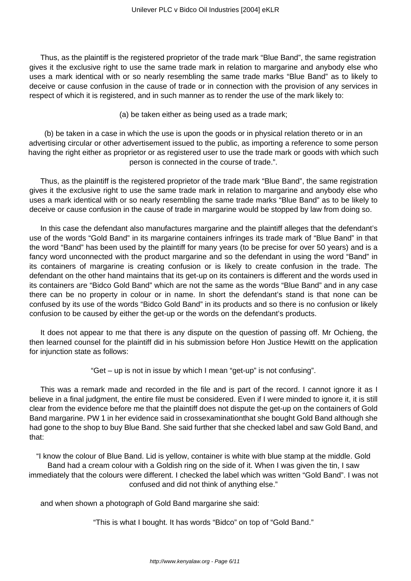Thus, as the plaintiff is the registered proprietor of the trade mark "Blue Band", the same registration gives it the exclusive right to use the same trade mark in relation to margarine and anybody else who uses a mark identical with or so nearly resembling the same trade marks "Blue Band" as to likely to deceive or cause confusion in the cause of trade or in connection with the provision of any services in respect of which it is registered, and in such manner as to render the use of the mark likely to:

(a) be taken either as being used as a trade mark;

(b) be taken in a case in which the use is upon the goods or in physical relation thereto or in an advertising circular or other advertisement issued to the public, as importing a reference to some person having the right either as proprietor or as registered user to use the trade mark or goods with which such person is connected in the course of trade.".

Thus, as the plaintiff is the registered proprietor of the trade mark "Blue Band", the same registration gives it the exclusive right to use the same trade mark in relation to margarine and anybody else who uses a mark identical with or so nearly resembling the same trade marks "Blue Band" as to be likely to deceive or cause confusion in the cause of trade in margarine would be stopped by law from doing so.

In this case the defendant also manufactures margarine and the plaintiff alleges that the defendant's use of the words "Gold Band" in its margarine containers infringes its trade mark of "Blue Band" in that the word "Band" has been used by the plaintiff for many years (to be precise for over 50 years) and is a fancy word unconnected with the product margarine and so the defendant in using the word "Band" in its containers of margarine is creating confusion or is likely to create confusion in the trade. The defendant on the other hand maintains that its get-up on its containers is different and the words used in its containers are "Bidco Gold Band" which are not the same as the words "Blue Band" and in any case there can be no property in colour or in name. In short the defendant's stand is that none can be confused by its use of the words "Bidco Gold Band" in its products and so there is no confusion or likely confusion to be caused by either the get-up or the words on the defendant's products.

It does not appear to me that there is any dispute on the question of passing off. Mr Ochieng, the then learned counsel for the plaintiff did in his submission before Hon Justice Hewitt on the application for injunction state as follows:

"Get – up is not in issue by which I mean "get-up" is not confusing".

This was a remark made and recorded in the file and is part of the record. I cannot ignore it as I believe in a final judgment, the entire file must be considered. Even if I were minded to ignore it, it is still clear from the evidence before me that the plaintiff does not dispute the get-up on the containers of Gold Band margarine. PW 1 in her evidence said in crossexaminationthat she bought Gold Band although she had gone to the shop to buy Blue Band. She said further that she checked label and saw Gold Band, and that:

"I know the colour of Blue Band. Lid is yellow, container is white with blue stamp at the middle. Gold Band had a cream colour with a Goldish ring on the side of it. When I was given the tin, I saw immediately that the colours were different. I checked the label which was written "Gold Band". I was not confused and did not think of anything else."

and when shown a photograph of Gold Band margarine she said:

"This is what I bought. It has words "Bidco" on top of "Gold Band."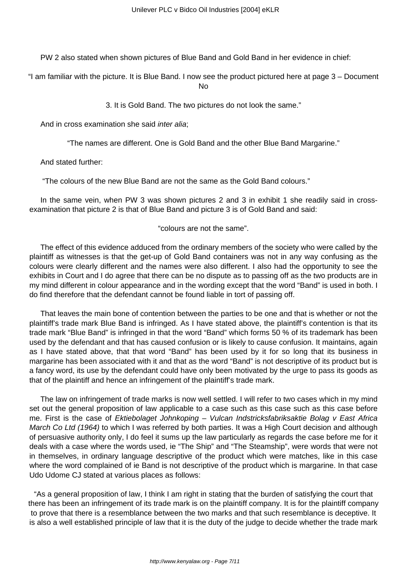PW 2 also stated when shown pictures of Blue Band and Gold Band in her evidence in chief:

"I am familiar with the picture. It is Blue Band. I now see the product pictured here at page 3 – Document No

3. It is Gold Band. The two pictures do not look the same."

And in cross examination she said *inter alia*;

"The names are different. One is Gold Band and the other Blue Band Margarine."

And stated further:

"The colours of the new Blue Band are not the same as the Gold Band colours."

In the same vein, when PW 3 was shown pictures 2 and 3 in exhibit 1 she readily said in crossexamination that picture 2 is that of Blue Band and picture 3 is of Gold Band and said:

## "colours are not the same".

The effect of this evidence adduced from the ordinary members of the society who were called by the plaintiff as witnesses is that the get-up of Gold Band containers was not in any way confusing as the colours were clearly different and the names were also different. I also had the opportunity to see the exhibits in Court and I do agree that there can be no dispute as to passing off as the two products are in my mind different in colour appearance and in the wording except that the word "Band" is used in both. I do find therefore that the defendant cannot be found liable in tort of passing off.

That leaves the main bone of contention between the parties to be one and that is whether or not the plaintiff's trade mark Blue Band is infringed. As I have stated above, the plaintiff's contention is that its trade mark "Blue Band" is infringed in that the word "Band" which forms 50 % of its trademark has been used by the defendant and that has caused confusion or is likely to cause confusion. It maintains, again as I have stated above, that that word "Band" has been used by it for so long that its business in margarine has been associated with it and that as the word "Band" is not descriptive of its product but is a fancy word, its use by the defendant could have only been motivated by the urge to pass its goods as that of the plaintiff and hence an infringement of the plaintiff's trade mark.

The law on infringement of trade marks is now well settled. I will refer to two cases which in my mind set out the general proposition of law applicable to a case such as this case such as this case before me. First is the case of Ektiebolaget Johnkoping - Vulcan Indstricksfabriksaktie Bolag v East Africa March Co Ltd (1964) to which I was referred by both parties. It was a High Court decision and although of persuasive authority only, I do feel it sums up the law particularly as regards the case before me for it deals with a case where the words used, ie "The Ship" and "The Steamship", were words that were not in themselves, in ordinary language descriptive of the product which were matches, like in this case where the word complained of ie Band is not descriptive of the product which is margarine. In that case Udo Udome CJ stated at various places as follows:

"As a general proposition of law, I think I am right in stating that the burden of satisfying the court that there has been an infringement of its trade mark is on the plaintiff company. It is for the plaintiff company to prove that there is a resemblance between the two marks and that such resemblance is deceptive. It is also a well established principle of law that it is the duty of the judge to decide whether the trade mark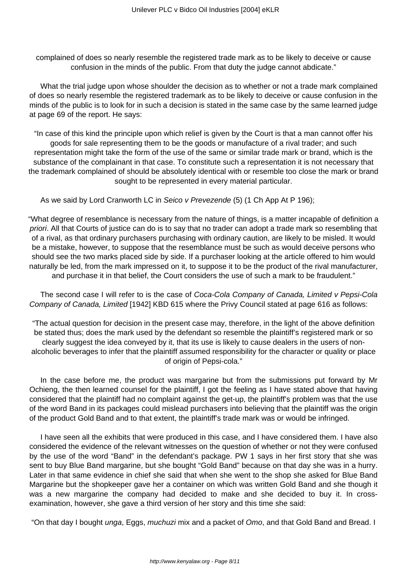complained of does so nearly resemble the registered trade mark as to be likely to deceive or cause confusion in the minds of the public. From that duty the judge cannot abdicate."

What the trial judge upon whose shoulder the decision as to whether or not a trade mark complained of does so nearly resemble the registered trademark as to be likely to deceive or cause confusion in the minds of the public is to look for in such a decision is stated in the same case by the same learned judge at page 69 of the report. He says:

"In case of this kind the principle upon which relief is given by the Court is that a man cannot offer his goods for sale representing them to be the goods or manufacture of a rival trader; and such representation might take the form of the use of the same or similar trade mark or brand, which is the substance of the complainant in that case. To constitute such a representation it is not necessary that the trademark complained of should be absolutely identical with or resemble too close the mark or brand sought to be represented in every material particular.

As we said by Lord Cranworth LC in Seico v Prevezende (5) (1 Ch App At P 196);

"What degree of resemblance is necessary from the nature of things, is a matter incapable of definition a priori. All that Courts of justice can do is to say that no trader can adopt a trade mark so resembling that of a rival, as that ordinary purchasers purchasing with ordinary caution, are likely to be misled. It would be a mistake, however, to suppose that the resemblance must be such as would deceive persons who should see the two marks placed side by side. If a purchaser looking at the article offered to him would naturally be led, from the mark impressed on it, to suppose it to be the product of the rival manufacturer, and purchase it in that belief, the Court considers the use of such a mark to be fraudulent."

The second case I will refer to is the case of Coca-Cola Company of Canada, Limited v Pepsi-Cola Company of Canada, Limited [1942] KBD 615 where the Privy Council stated at page 616 as follows:

"The actual question for decision in the present case may, therefore, in the light of the above definition be stated thus; does the mark used by the defendant so resemble the plaintiff's registered mark or so clearly suggest the idea conveyed by it, that its use is likely to cause dealers in the users of nonalcoholic beverages to infer that the plaintiff assumed responsibility for the character or quality or place of origin of Pepsi-cola."

In the case before me, the product was margarine but from the submissions put forward by Mr Ochieng, the then learned counsel for the plaintiff, I got the feeling as I have stated above that having considered that the plaintiff had no complaint against the get-up, the plaintiff's problem was that the use of the word Band in its packages could mislead purchasers into believing that the plaintiff was the origin of the product Gold Band and to that extent, the plaintiff's trade mark was or would be infringed.

I have seen all the exhibits that were produced in this case, and I have considered them. I have also considered the evidence of the relevant witnesses on the question of whether or not they were confused by the use of the word "Band" in the defendant's package. PW 1 says in her first story that she was sent to buy Blue Band margarine, but she bought "Gold Band" because on that day she was in a hurry. Later in that same evidence in chief she said that when she went to the shop she asked for Blue Band Margarine but the shopkeeper gave her a container on which was written Gold Band and she though it was a new margarine the company had decided to make and she decided to buy it. In crossexamination, however, she gave a third version of her story and this time she said:

"On that day I bought *unga*, Eggs, muchuzi mix and a packet of Omo, and that Gold Band and Bread. I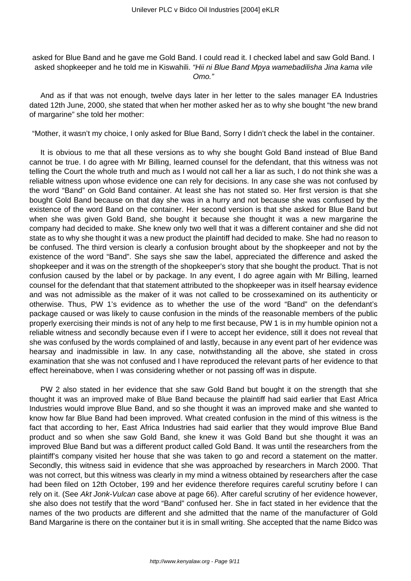asked for Blue Band and he gave me Gold Band. I could read it. I checked label and saw Gold Band. I asked shopkeeper and he told me in Kiswahili. "Hii ni Blue Band Mpya wamebadilisha Jina kama vile Omo."

And as if that was not enough, twelve days later in her letter to the sales manager EA Industries dated 12th June, 2000, she stated that when her mother asked her as to why she bought "the new brand of margarine" she told her mother:

"Mother, it wasn't my choice, I only asked for Blue Band, Sorry I didn't check the label in the container.

It is obvious to me that all these versions as to why she bought Gold Band instead of Blue Band cannot be true. I do agree with Mr Billing, learned counsel for the defendant, that this witness was not telling the Court the whole truth and much as I would not call her a liar as such, I do not think she was a reliable witness upon whose evidence one can rely for decisions. In any case she was not confused by the word "Band" on Gold Band container. At least she has not stated so. Her first version is that she bought Gold Band because on that day she was in a hurry and not because she was confused by the existence of the word Band on the container. Her second version is that she asked for Blue Band but when she was given Gold Band, she bought it because she thought it was a new margarine the company had decided to make. She knew only two well that it was a different container and she did not state as to why she thought it was a new product the plaintiff had decided to make. She had no reason to be confused. The third version is clearly a confusion brought about by the shopkeeper and not by the existence of the word "Band". She says she saw the label, appreciated the difference and asked the shopkeeper and it was on the strength of the shopkeeper's story that she bought the product. That is not confusion caused by the label or by package. In any event, I do agree again with Mr Billing, learned counsel for the defendant that that statement attributed to the shopkeeper was in itself hearsay evidence and was not admissible as the maker of it was not called to be crossexamined on its authenticity or otherwise. Thus, PW 1's evidence as to whether the use of the word "Band" on the defendant's package caused or was likely to cause confusion in the minds of the reasonable members of the public properly exercising their minds is not of any help to me first because, PW 1 is in my humble opinion not a reliable witness and secondly because even if I were to accept her evidence, still it does not reveal that she was confused by the words complained of and lastly, because in any event part of her evidence was hearsay and inadmissible in law. In any case, notwithstanding all the above, she stated in cross examination that she was not confused and I have reproduced the relevant parts of her evidence to that effect hereinabove, when I was considering whether or not passing off was in dispute.

PW 2 also stated in her evidence that she saw Gold Band but bought it on the strength that she thought it was an improved make of Blue Band because the plaintiff had said earlier that East Africa Industries would improve Blue Band, and so she thought it was an improved make and she wanted to know how far Blue Band had been improved. What created confusion in the mind of this witness is the fact that according to her, East Africa Industries had said earlier that they would improve Blue Band product and so when she saw Gold Band, she knew it was Gold Band but she thought it was an improved Blue Band but was a different product called Gold Band. It was until the researchers from the plaintiff's company visited her house that she was taken to go and record a statement on the matter. Secondly, this witness said in evidence that she was approached by researchers in March 2000. That was not correct, but this witness was clearly in my mind a witness obtained by researchers after the case had been filed on 12th October, 199 and her evidence therefore requires careful scrutiny before I can rely on it. (See Akt Jonk-Vulcan case above at page 66). After careful scrutiny of her evidence however, she also does not testify that the word "Band" confused her. She in fact stated in her evidence that the names of the two products are different and she admitted that the name of the manufacturer of Gold Band Margarine is there on the container but it is in small writing. She accepted that the name Bidco was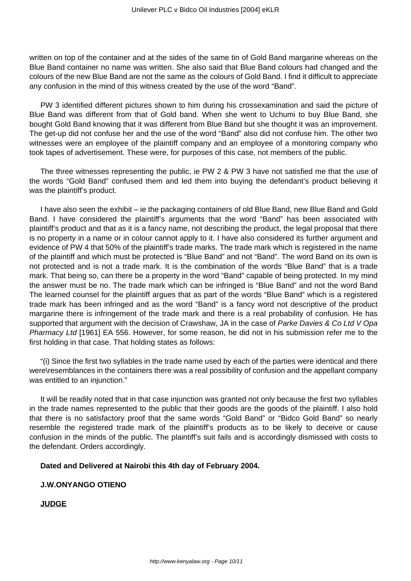written on top of the container and at the sides of the same tin of Gold Band margarine whereas on the Blue Band container no name was written. She also said that Blue Band colours had changed and the colours of the new Blue Band are not the same as the colours of Gold Band. I find it difficult to appreciate any confusion in the mind of this witness created by the use of the word "Band".

PW 3 identified different pictures shown to him during his crossexamination and said the picture of Blue Band was different from that of Gold band. When she went to Uchumi to buy Blue Band, she bought Gold Band knowing that it was different from Blue Band but she thought it was an improvement. The get-up did not confuse her and the use of the word "Band" also did not confuse him. The other two witnesses were an employee of the plaintiff company and an employee of a monitoring company who took tapes of advertisement. These were, for purposes of this case, not members of the public.

The three witnesses representing the public, ie PW 2 & PW 3 have not satisfied me that the use of the words "Gold Band" confused them and led them into buying the defendant's product believing it was the plaintiff's product.

I have also seen the exhibit – ie the packaging containers of old Blue Band, new Blue Band and Gold Band. I have considered the plaintiff's arguments that the word "Band" has been associated with plaintiff's product and that as it is a fancy name, not describing the product, the legal proposal that there is no property in a name or in colour cannot apply to it. I have also considered its further argument and evidence of PW 4 that 50% of the plaintiff's trade marks. The trade mark which is registered in the name of the plaintiff and which must be protected is "Blue Band" and not "Band". The word Band on its own is not protected and is not a trade mark. It is the combination of the words "Blue Band" that is a trade mark. That being so, can there be a property in the word "Band" capable of being protected. In my mind the answer must be no. The trade mark which can be infringed is "Blue Band" and not the word Band The learned counsel for the plaintiff argues that as part of the words "Blue Band" which is a registered trade mark has been infringed and as the word "Band" is a fancy word not descriptive of the product margarine there is infringement of the trade mark and there is a real probability of confusion. He has supported that argument with the decision of Crawshaw, JA in the case of Parke Davies & Co Ltd V Opa Pharmacy Ltd [1961] EA 556. However, for some reason, he did not in his submission refer me to the first holding in that case. That holding states as follows:

"(i) Since the first two syllables in the trade name used by each of the parties were identical and there were\resemblances in the containers there was a real possibility of confusion and the appellant company was entitled to an injunction."

It will be readily noted that in that case injunction was granted not only because the first two syllables in the trade names represented to the public that their goods are the goods of the plaintiff. I also hold that there is no satisfactory proof that the same words "Gold Band" or "Bidco Gold Band" so nearly resemble the registered trade mark of the plaintiff's products as to be likely to deceive or cause confusion in the minds of the public. The plaintiff's suit fails and is accordingly dismissed with costs to the defendant. Orders accordingly.

## **Dated and Delivered at Nairobi this 4th day of February 2004.**

## **J.W.ONYANGO OTIENO**

**JUDGE**